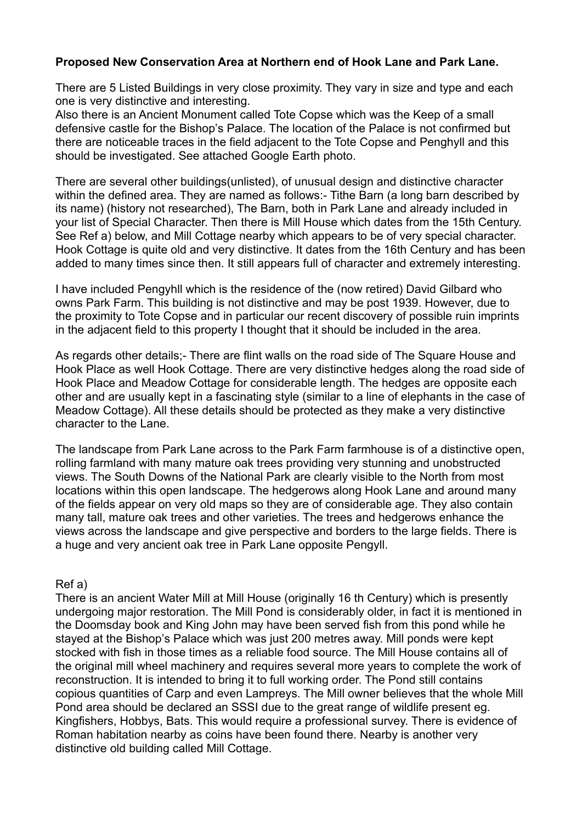## **Proposed New Conservation Area at Northern end of Hook Lane and Park Lane.**

There are 5 Listed Buildings in very close proximity. They vary in size and type and each one is very distinctive and interesting.

Also there is an Ancient Monument called Tote Copse which was the Keep of a small defensive castle for the Bishop's Palace. The location of the Palace is not confirmed but there are noticeable traces in the field adjacent to the Tote Copse and Penghyll and this should be investigated. See attached Google Earth photo.

There are several other buildings(unlisted), of unusual design and distinctive character within the defined area. They are named as follows:- Tithe Barn (a long barn described by its name) (history not researched), The Barn, both in Park Lane and already included in your list of Special Character. Then there is Mill House which dates from the 15th Century. See Ref a) below, and Mill Cottage nearby which appears to be of very special character. Hook Cottage is quite old and very distinctive. It dates from the 16th Century and has been added to many times since then. It still appears full of character and extremely interesting.

I have included Pengyhll which is the residence of the (now retired) David Gilbard who owns Park Farm. This building is not distinctive and may be post 1939. However, due to the proximity to Tote Copse and in particular our recent discovery of possible ruin imprints in the adjacent field to this property I thought that it should be included in the area.

As regards other details;- There are flint walls on the road side of The Square House and Hook Place as well Hook Cottage. There are very distinctive hedges along the road side of Hook Place and Meadow Cottage for considerable length. The hedges are opposite each other and are usually kept in a fascinating style (similar to a line of elephants in the case of Meadow Cottage). All these details should be protected as they make a very distinctive character to the Lane.

The landscape from Park Lane across to the Park Farm farmhouse is of a distinctive open, rolling farmland with many mature oak trees providing very stunning and unobstructed views. The South Downs of the National Park are clearly visible to the North from most locations within this open landscape. The hedgerows along Hook Lane and around many of the fields appear on very old maps so they are of considerable age. They also contain many tall, mature oak trees and other varieties. The trees and hedgerows enhance the views across the landscape and give perspective and borders to the large fields. There is a huge and very ancient oak tree in Park Lane opposite Pengyll.

## Ref a)

There is an ancient Water Mill at Mill House (originally 16 th Century) which is presently undergoing major restoration. The Mill Pond is considerably older, in fact it is mentioned in the Doomsday book and King John may have been served fish from this pond while he stayed at the Bishop's Palace which was just 200 metres away. Mill ponds were kept stocked with fish in those times as a reliable food source. The Mill House contains all of the original mill wheel machinery and requires several more years to complete the work of reconstruction. It is intended to bring it to full working order. The Pond still contains copious quantities of Carp and even Lampreys. The Mill owner believes that the whole Mill Pond area should be declared an SSSI due to the great range of wildlife present eg. Kingfishers, Hobbys, Bats. This would require a professional survey. There is evidence of Roman habitation nearby as coins have been found there. Nearby is another very distinctive old building called Mill Cottage.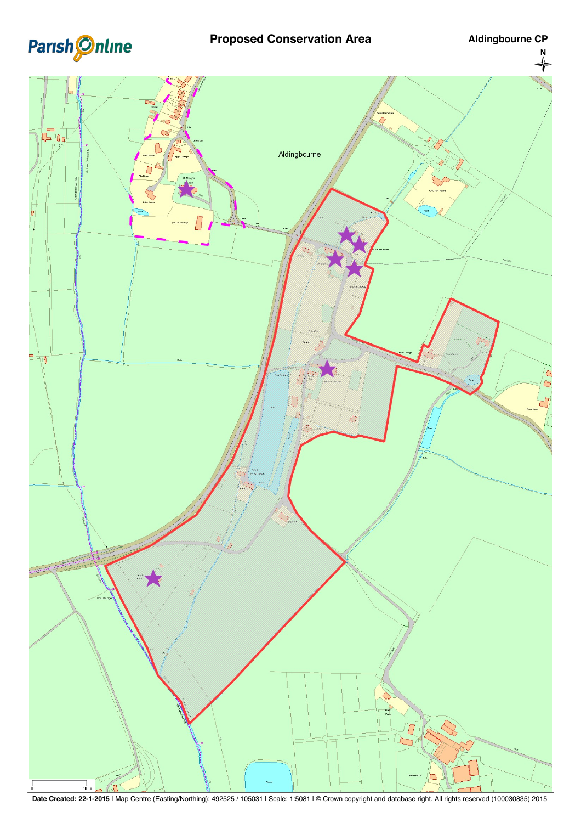

## **Proposed Conservation Area <b>Aldingbourne CP**



**Date Created: 22-1-2015** | Map Centre (Easting/Northing): 492525 / 105031 | Scale: 1:5081 | © Crown copyright and database right. All rights reserved (100030835) 2015